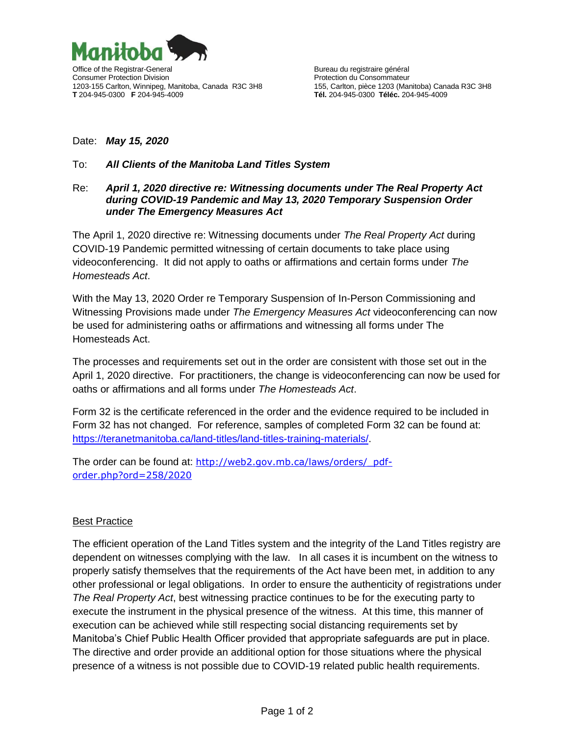

## Date: *May 15, 2020*

## To: *All Clients of the Manitoba Land Titles System*

## Re: *April 1, 2020 directive re: Witnessing documents under The Real Property Act during COVID-19 Pandemic and May 13, 2020 Temporary Suspension Order under The Emergency Measures Act*

The April 1, 2020 directive re: Witnessing documents under *The Real Property Act* during COVID-19 Pandemic permitted witnessing of certain documents to take place using videoconferencing. It did not apply to oaths or affirmations and certain forms under *The Homesteads Act*.

With the May 13, 2020 Order re Temporary Suspension of In-Person Commissioning and Witnessing Provisions made under *The Emergency Measures Act* videoconferencing can now be used for administering oaths or affirmations and witnessing all forms under The Homesteads Act.

The processes and requirements set out in the order are consistent with those set out in the April 1, 2020 directive. For practitioners, the change is videoconferencing can now be used for oaths or affirmations and all forms under *The Homesteads Act*.

Form 32 is the certificate referenced in the order and the evidence required to be included in Form 32 has not changed. For reference, samples of completed Form 32 can be found at: [https://teranetmanitoba.ca/land-titles/land-titles-training-materials/.](https://teranetmanitoba.ca/land-titles/land-titles-training-materials/)

The order can be found at: http://web2.gov.mb.ca/laws/orders/ pdf[order.php?ord=258/2020](http://web2.gov.mb.ca/laws/orders/_pdf-order.php?ord=258/2020)

## Best Practice

The efficient operation of the Land Titles system and the integrity of the Land Titles registry are dependent on witnesses complying with the law. In all cases it is incumbent on the witness to properly satisfy themselves that the requirements of the Act have been met, in addition to any other professional or legal obligations. In order to ensure the authenticity of registrations under *The Real Property Act*, best witnessing practice continues to be for the executing party to execute the instrument in the physical presence of the witness. At this time, this manner of execution can be achieved while still respecting social distancing requirements set by Manitoba's Chief Public Health Officer provided that appropriate safeguards are put in place. The directive and order provide an additional option for those situations where the physical presence of a witness is not possible due to COVID-19 related public health requirements.